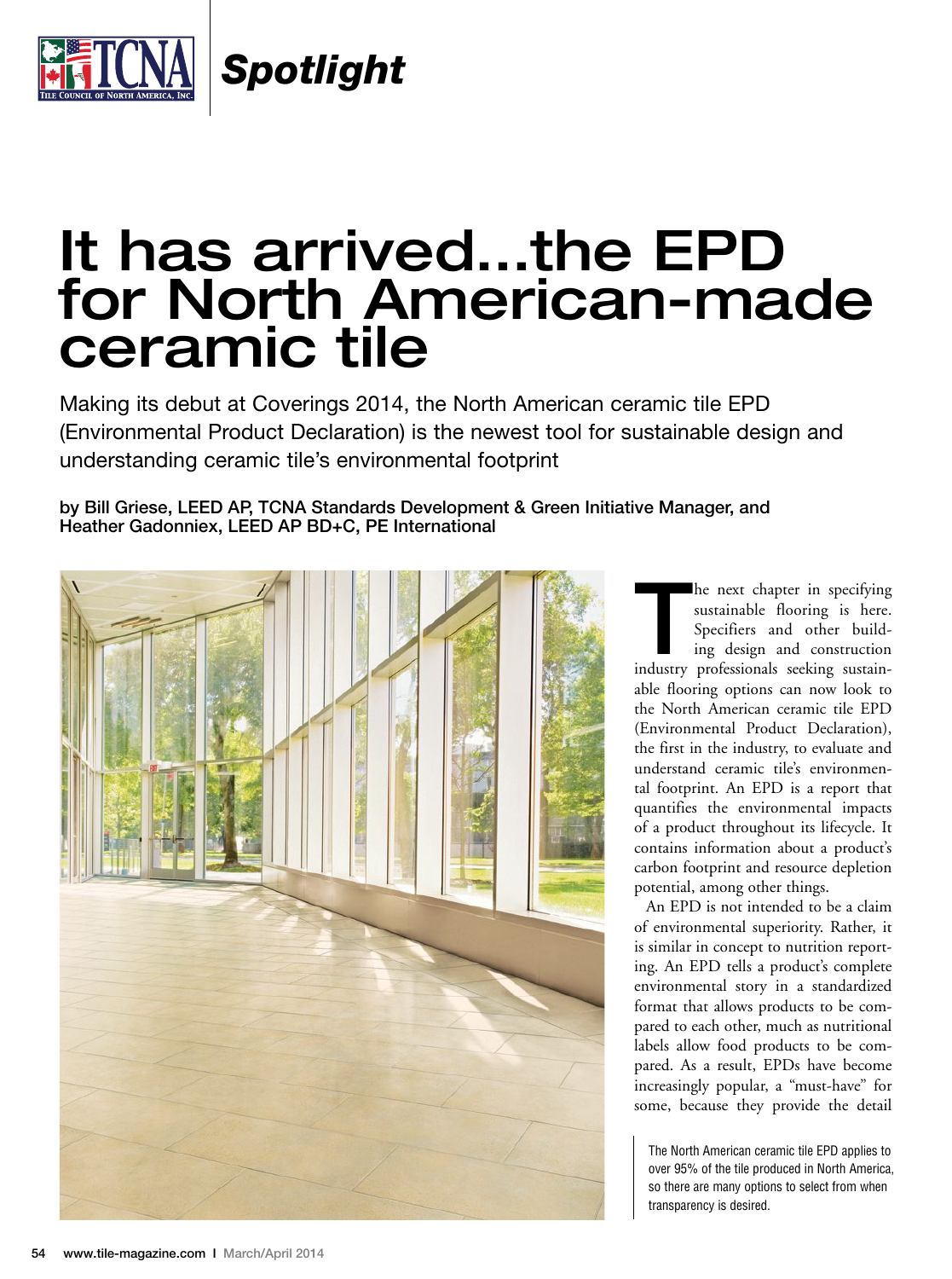

*Spotlight*

## It has arrived…the EPD for North American-made ceramic tile

Making its debut at Coverings 2014, the North American ceramic tile EPD (Environmental Product Declaration) is the newest tool for sustainable design and understanding ceramic tile's environmental footprint

## by Bill Griese, LEED AP, TCNA Standards Development & Green Initiative Manager, and Heather Gadonniex, LEED AP BD+C, PE International



he next chapter in specifying<br>
sustainable flooring is here.<br>
Specifiers and other build-<br>
ing design and construction<br>
industry professionals seeking sustainsustainable flooring is here. Specifiers and other building design and construction able flooring options can now look to the North American ceramic tile EPD (Environmental Product Declaration), the first in the industry, to evaluate and understand ceramic tile's environmental footprint. An EPD is a report that quantifies the environmental impacts of a product throughout its lifecycle. It contains information about a product's carbon footprint and resource depletion potential, among other things.

An EPD is not intended to be a claim of environmental superiority. Rather, it is similar in concept to nutrition reporting. An EPD tells a product's complete environmental story in a standardized format that allows products to be compared to each other, much as nutritional labels allow food products to be compared. As a result, EPDs have become increasingly popular, a "must-have" for some, because they provide the detail

The North American ceramic tile EPD applies to over 95% of the tile produced in North America, so there are many options to select from when transparency is desired.